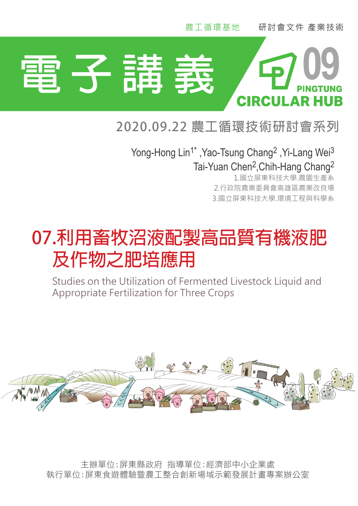

## *<sup>1</sup> Department of Plant Industry, National Pingtung University of Science and Technology,* **2020.09.22 農工循環技術研討會系列**

*Kaohsiung District Agricultural Research and Extension Station, Pingtung, Taiwan.* Yong-Hong Lin1\* ,Yao-Tsung Chang2 ,Yi-Lang Wei3 *Department of Environmental Science and Engineering, National Pingtung University of* Tai-Yuan Chen2,Chih-Hang Chang2

1.國立屏東科技大學.農園生產系 2.行政院農業委員會高雄區農業改良場 3.國立屏東科技大學.環境工程與科學系

# 07.利用畜牧沼液配製高品質有機液肥  **Abstract 及作物之肥培應用**

Studies on the Utilization of Fermented Livestock Liquid and hence, it can be used for the fertilization of crops. This studies were conducted to use Appropriate Fertilization for Three Crops



1 主辦單位:屏東縣政府 指導單位:經濟部中小企業處 執行單位:屏東食遊體驗暨農工整合創新場域示範發展計畫專案辦公室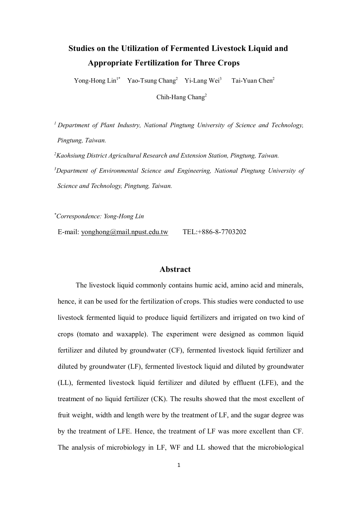## **Studies on the Utilization of Fermented Livestock Liquid and Appropriate Fertilization for Three Crops**

Yong-Hong Lin<sup>1\*</sup> Yao-Tsung Chang<sup>2</sup> Yi-Lang Wei<sup>3</sup> Tai-Yuan Chen<sup>2</sup>

Chih-Hang Chang2

*1 Department of Plant Industry, National Pingtung University of Science and Technology, Pingtung, Taiwan.*

*2 Kaohsiung District Agricultural Research and Extension Station, Pingtung, Taiwan. 3 Department of Environmental Science and Engineering, National Pingtung University of Science and Technology, Pingtung, Taiwan.*

*\* Correspondence: Yong-Hong Lin*

E-mail: [yonghong@mail.npust.edu.tw](mailto:yonghong@mail.npust.edu.tw) TEL:+886-8-7703202

#### **Abstract**

 The livestock liquid commonly contains humic acid, amino acid and minerals, hence, it can be used for the fertilization of crops. This studies were conducted to use livestock fermented liquid to produce liquid fertilizers and irrigated on two kind of crops (tomato and waxapple). The experiment were designed as common liquid fertilizer and diluted by groundwater (CF), fermented livestock liquid fertilizer and diluted by groundwater (LF), fermented livestock liquid and diluted by groundwater (LL), fermented livestock liquid fertilizer and diluted by effluent (LFE), and the treatment of no liquid fertilizer (CK). The results showed that the most excellent of fruit weight, width and length were by the treatment of LF, and the sugar degree was by the treatment of LFE. Hence, the treatment of LF was more excellent than CF. The analysis of microbiology in LF, WF and LL showed that the microbiological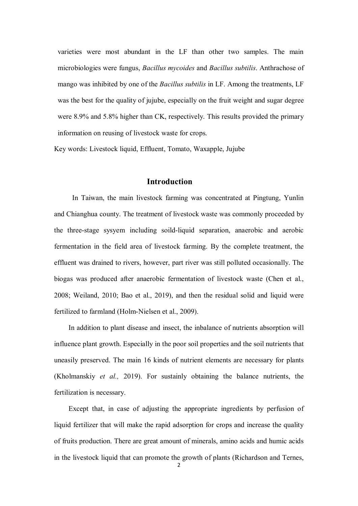varieties were most abundant in the LF than other two samples. The main microbiologies were fungus, *Bacillus mycoides* and *Bacillus subtilis*. Anthrachose of mango was inhibited by one of the *Bacillus subtilis* in LF. Among the treatments, LF was the best for the quality of jujube, especially on the fruit weight and sugar degree were 8.9% and 5.8% higher than CK, respectively. This results provided the primary information on reusing of livestock waste for crops.

Key words: Livestock liquid, Effluent, Tomato, Waxapple, Jujube

#### **Introduction**

 In Taiwan, the main livestock farming was concentrated at Pingtung, Yunlin and Chianghua county. The treatment of livestock waste was commonly proceeded by the three-stage sysyem including soild-liquid separation, anaerobic and aerobic fermentation in the field area of livestock farming. By the complete treatment, the effluent was drained to rivers, however, part river was still polluted occasionally. The biogas was produced after anaerobic fermentation of livestock waste (Chen et al., 2008; Weiland, 2010; Bao et al., 2019), and then the residual solid and liquid were fertilized to farmland (Holm-Nielsen et al., 2009).

 In addition to plant disease and insect, the inbalance of nutrients absorption will influence plant growth. Especially in the poor soil properties and the soil nutrients that uneasily preserved. The main 16 kinds of nutrient elements are necessary for plants (Kholmanskiy *et al.,* 2019). For sustainly obtaining the balance nutrients, the fertilization is necessary.

 Except that, in case of adjusting the appropriate ingredients by perfusion of liquid fertilizer that will make the rapid adsorption for crops and increase the quality of fruits production. There are great amount of minerals, amino acids and humic acids in the livestock liquid that can promote the growth of plants (Richardson and Ternes,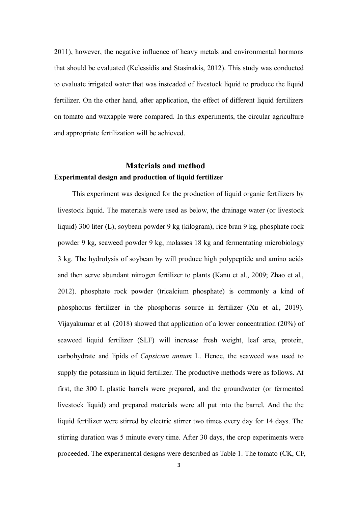2011), however, the negative influence of heavy metals and environmental hormons that should be evaluated (Kelessidis and Stasinakis, 2012). This study was conducted to evaluate irrigated water that was insteaded of livestock liquid to produce the liquid fertilizer. On the other hand, after application, the effect of different liquid fertilizers on tomato and waxapple were compared. In this experiments, the circular agriculture and appropriate fertilization will be achieved.

### **Materials and method Experimental design and production of liquid fertilizer**

 This experiment was designed for the production of liquid organic fertilizers by livestock liquid. The materials were used as below, the drainage water (or livestock liquid) 300 liter (L), soybean powder 9 kg (kilogram), rice bran 9 kg, phosphate rock powder 9 kg, seaweed powder 9 kg, molasses 18 kg and fermentating microbiology 3 kg. The hydrolysis of soybean by will produce high polypeptide and amino acids and then serve abundant nitrogen fertilizer to plants (Kanu et al., 2009; Zhao et al., 2012). phosphate rock powder (tricalcium phosphate) is commonly a kind of phosphorus fertilizer in the phosphorus source in fertilizer (Xu et al., 2019). Vijayakumar et al. (2018) showed that application of a lower concentration (20%) of seaweed liquid fertilizer (SLF) will increase fresh weight, leaf area, protein, carbohydrate and lipids of *Capsicum annum* L. Hence, the seaweed was used to supply the potassium in liquid fertilizer. The productive methods were as follows. At first, the 300 L plastic barrels were prepared, and the groundwater (or fermented livestock liquid) and prepared materials were all put into the barrel. And the the liquid fertilizer were stirred by electric stirrer two times every day for 14 days. The stirring duration was 5 minute every time. After 30 days, the crop experiments were proceeded. The experimental designs were described as Table 1. The tomato (CK, CF,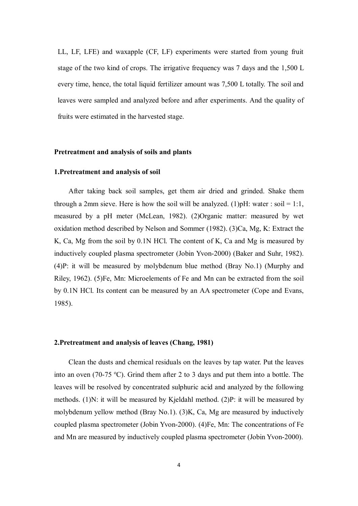LL, LF, LFE) and waxapple (CF, LF) experiments were started from young fruit stage of the two kind of crops. The irrigative frequency was 7 days and the 1,500 L every time, hence, the total liquid fertilizer amount was 7,500 L totally. The soil and leaves were sampled and analyzed before and after experiments. And the quality of fruits were estimated in the harvested stage.

#### **Pretreatment and analysis of soils and plants**

#### **1.Pretreatment and analysis of soil**

After taking back soil samples, get them air dried and grinded. Shake them through a 2mm sieve. Here is how the soil will be analyzed. (1) pH: water : soil = 1:1, measured by a pH meter (McLean, 1982). (2)Organic matter: measured by wet oxidation method described by Nelson and Sommer (1982). (3)Ca, Mg, K: Extract the K, Ca, Mg from the soil by 0.1N HCl. The content of K, Ca and Mg is measured by inductively coupled plasma spectrometer (Jobin Yvon-2000) (Baker and Suhr, 1982). (4)P: it will be measured by molybdenum blue method (Bray No.1) (Murphy and Riley, 1962). (5)Fe, Mn: Microelements of Fe and Mn can be extracted from the soil by 0.1N HCl. Its content can be measured by an AA spectrometer (Cope and Evans, 1985).

#### **2.Pretreatment and analysis of leaves (Chang, 1981)**

Clean the dusts and chemical residuals on the leaves by tap water. Put the leaves into an oven (70-75 °C). Grind them after 2 to 3 days and put them into a bottle. The leaves will be resolved by concentrated sulphuric acid and analyzed by the following methods. (1)N: it will be measured by Kjeldahl method. (2)P: it will be measured by molybdenum yellow method (Bray No.1). (3)K, Ca, Mg are measured by inductively coupled plasma spectrometer (Jobin Yvon-2000). (4)Fe, Mn: The concentrations of Fe and Mn are measured by inductively coupled plasma spectrometer (Jobin Yvon-2000).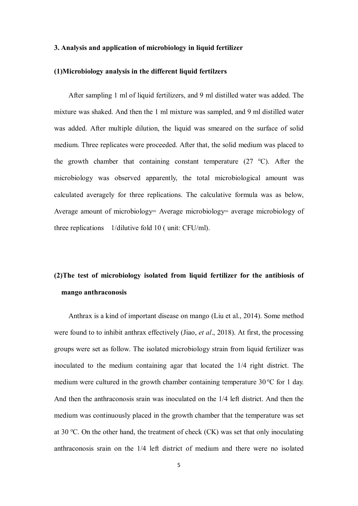#### **3. Analysis and application of microbiology in liquid fertilizer**

#### **(1)Microbiology analysis in the different liquid fertilzers**

After sampling 1 ml of liquid fertilizers, and 9 ml distilled water was added. The mixture was shaked. And then the 1 ml mixture was sampled, and 9 ml distilled water was added. After multiple dilution, the liquid was smeared on the surface of solid medium. Three replicates were proceeded. After that, the solid medium was placed to the growth chamber that containing constant temperature  $(27 \text{ °C})$ . After the microbiology was observed apparently, the total microbiological amount was calculated averagely for three replications. The calculative formula was as below, Average amount of microbiology= Average microbiology= average microbiology of three replications 1/dilutive fold 10 ( unit: CFU/ml).

## **(2)The test of microbiology isolated from liquid fertilizer for the antibiosis of mango anthraconosis**

Anthrax is a kind of important disease on mango (Liu et al., 2014). Some method were found to to inhibit anthrax effectively (Jiao, *et al*., 2018). At first, the processing groups were set as follow. The isolated microbiology strain from liquid fertilizer was inoculated to the medium containing agar that located the 1/4 right district. The medium were cultured in the growth chamber containing temperature  $30^{\circ}$ C for 1 day. And then the anthraconosis srain was inoculated on the 1/4 left district. And then the medium was continuously placed in the growth chamber that the temperature was set at 30 °C. On the other hand, the treatment of check  $(CK)$  was set that only inoculating anthraconosis srain on the 1/4 left district of medium and there were no isolated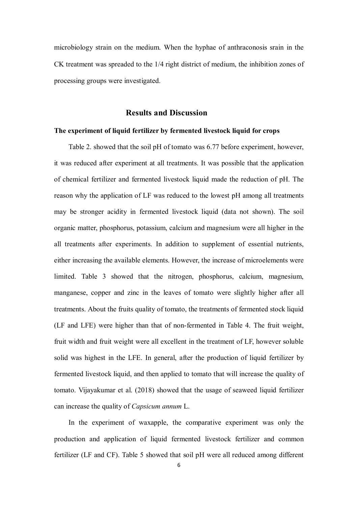microbiology strain on the medium. When the hyphae of anthraconosis srain in the CK treatment was spreaded to the 1/4 right district of medium, the inhibition zones of processing groups were investigated.

#### **Results and Discussion**

#### **The experiment of liquid fertilizer by fermented livestock liquid for crops**

Table 2. showed that the soil pH of tomato was 6.77 before experiment, however, it was reduced after experiment at all treatments. It was possible that the application of chemical fertilizer and fermented livestock liquid made the reduction of pH. The reason why the application of LF was reduced to the lowest pH among all treatments may be stronger acidity in fermented livestock liquid (data not shown). The soil organic matter, phosphorus, potassium, calcium and magnesium were all higher in the all treatments after experiments. In addition to supplement of essential nutrients, either increasing the available elements. However, the increase of microelements were limited. Table 3 showed that the nitrogen, phosphorus, calcium, magnesium, manganese, copper and zinc in the leaves of tomato were slightly higher after all treatments. About the fruits quality of tomato, the treatments of fermented stock liquid (LF and LFE) were higher than that of non-fermented in Table 4. The fruit weight, fruit width and fruit weight were all excellent in the treatment of LF, however soluble solid was highest in the LFE. In general, after the production of liquid fertilizer by fermented livestock liquid, and then applied to tomato that will increase the quality of tomato. Vijayakumar et al. (2018) showed that the usage of seaweed liquid fertilizer can increase the quality of *Capsicum annum* L.

In the experiment of waxapple, the comparative experiment was only the production and application of liquid fermented livestock fertilizer and common fertilizer (LF and CF). Table 5 showed that soil pH were all reduced among different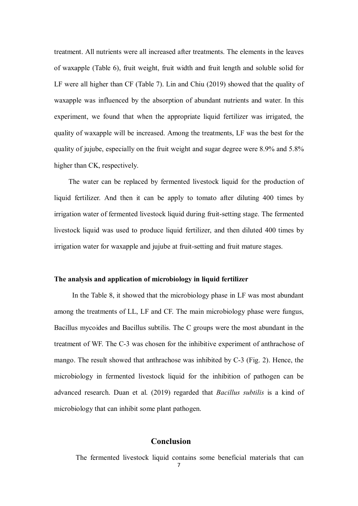treatment. All nutrients were all increased after treatments. The elements in the leaves of waxapple (Table 6), fruit weight, fruit width and fruit length and soluble solid for LF were all higher than CF (Table 7). Lin and Chiu (2019) showed that the quality of waxapple was influenced by the absorption of abundant nutrients and water. In this experiment, we found that when the appropriate liquid fertilizer was irrigated, the quality of waxapple will be increased. Among the treatments, LF was the best for the quality of jujube, especially on the fruit weight and sugar degree were 8.9% and 5.8% higher than CK, respectively.

 The water can be replaced by fermented livestock liquid for the production of liquid fertilizer. And then it can be apply to tomato after diluting 400 times by irrigation water of fermented livestock liquid during fruit-setting stage. The fermented livestock liquid was used to produce liquid fertilizer, and then diluted 400 times by irrigation water for waxapple and jujube at fruit-setting and fruit mature stages.

#### **The analysis and application of microbiology in liquid fertilizer**

 In the Table 8, it showed that the microbiology phase in LF was most abundant among the treatments of LL, LF and CF. The main microbiology phase were fungus, Bacillus mycoides and Bacillus subtilis. The C groups were the most abundant in the treatment of WF. The C-3 was chosen for the inhibitive experiment of anthrachose of mango. The result showed that anthrachose was inhibited by C-3 (Fig. 2). Hence, the microbiology in fermented livestock liquid for the inhibition of pathogen can be advanced research. Duan et al. (2019) regarded that *Bacillus subtilis* is a kind of microbiology that can inhibit some plant pathogen.

#### **Conclusion**

The fermented livestock liquid contains some beneficial materials that can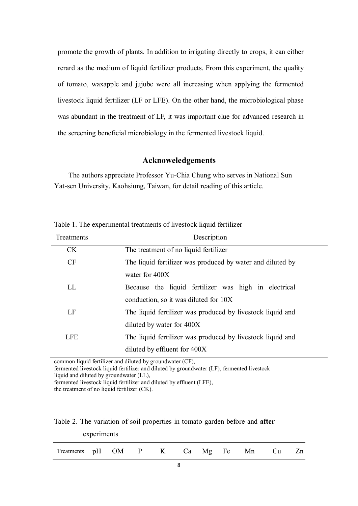promote the growth of plants. In addition to irrigating directly to crops, it can either rerard as the medium of liquid fertilizer products. From this experiment, the quality of tomato, waxapple and jujube were all increasing when applying the fermented livestock liquid fertilizer (LF or LFE). On the other hand, the microbiological phase was abundant in the treatment of LF, it was important clue for advanced research in the screening beneficial microbiology in the fermented livestock liquid.

#### **Acknoweledgements**

 The authors appreciate Professor Yu-Chia Chung who serves in National Sun Yat-sen University, Kaohsiung, Taiwan, for detail reading of this article.

| Description                                                |
|------------------------------------------------------------|
| The treatment of no liquid fertilizer                      |
| The liquid fertilizer was produced by water and diluted by |
| water for 400X                                             |
| Because the liquid fertilizer was high in electrical       |
| conduction, so it was diluted for 10X                      |
| The liquid fertilizer was produced by livestock liquid and |
| diluted by water for 400X                                  |
| The liquid fertilizer was produced by livestock liquid and |
| diluted by effluent for 400X                               |
|                                                            |

Table 1. The experimental treatments of livestock liquid fertilizer

common liquid fertilizer and diluted by groundwater (CF),

fermented livestock liquid fertilizer and diluted by groundwater (LF), fermented livestock liquid and diluted by groundwater (LL),

fermented livestock liquid fertilizer and diluted by effluent (LFE),

Table 2. The variation of soil properties in tomato garden before and **after** 

|                      | experiments |  |            |  |          |  |
|----------------------|-------------|--|------------|--|----------|--|
| Treatments pH OM P K |             |  | $Ca$ $N^*$ |  | Mg Fe Mn |  |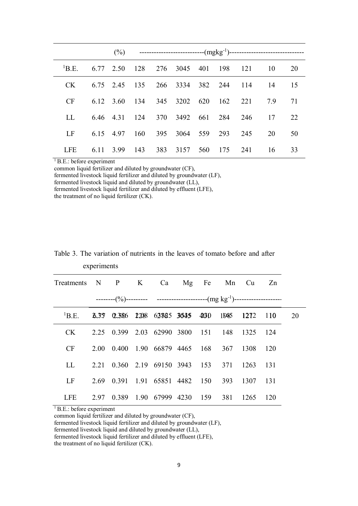| $\mathrm{^{1}B.E.}$ |               |  |                                    |         | 6.77 2.50 128 276 3045 401 198 121 10 |                                          | - 20 |
|---------------------|---------------|--|------------------------------------|---------|---------------------------------------|------------------------------------------|------|
| CK.                 |               |  |                                    |         |                                       | 6.75 2.45 135 266 3334 382 244 114 14 15 |      |
| CF                  |               |  |                                    |         |                                       | 6.12 3.60 134 345 3202 620 162 221 7.9   | 71   |
| LL.                 |               |  | 6.46 4.31 124 370 3492 661 284 246 |         |                                       | 17                                       | 22   |
| LF                  | 6.15 4.97     |  | 160 395 3064 559 293 245           |         |                                       | 20                                       | 50   |
| <b>LFE</b>          | 6.11 3.99 143 |  | 383 3157 560                       | 175 241 |                                       | 16                                       | 33   |

<sup>1</sup> B.E.: before experiment

common liquid fertilizer and diluted by groundwater (CF), fermented livestock liquid fertilizer and diluted by groundwater (LF), fermented livestock liquid and diluted by groundwater (LL), fermented livestock liquid fertilizer and diluted by effluent (LFE),

the treatment of no liquid fertilizer (CK).

| Treatments N P K Ca Mg Fe Mn Cu Zn                                              |  |                                             |  |  |  |
|---------------------------------------------------------------------------------|--|---------------------------------------------|--|--|--|
|                                                                                 |  |                                             |  |  |  |
| <sup>1</sup> B.E. <b>6.37 0.356 1.288 6.3865 3645 4630 1.046 1.272 1.10</b> 2.0 |  |                                             |  |  |  |
| CK                                                                              |  | 2.25 0.399 2.03 62990 3800 151 148 1325 124 |  |  |  |
| CF                                                                              |  | 2.00 0.400 1.90 66879 4465 168 367 1308 120 |  |  |  |
| LL                                                                              |  | 2.21 0.360 2.19 69150 3943 153 371 1263 131 |  |  |  |
| LF                                                                              |  | 2.69 0.391 1.91 65851 4482 150 393 1307 131 |  |  |  |
| LFE                                                                             |  | 2.97 0.389 1.90 67999 4230 159 381 1265 120 |  |  |  |

Table 3. The variation of nutrients in the leaves of tomato before and after experiments

<sup>1</sup> B.E.: before experiment

common liquid fertilizer and diluted by groundwater (CF),

fermented livestock liquid fertilizer and diluted by groundwater (LF),

fermented livestock liquid and diluted by groundwater (LL),

fermented livestock liquid fertilizer and diluted by effluent (LFE),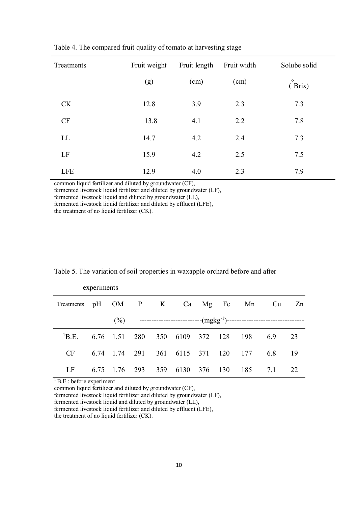| Treatments | Fruit weight | Fruit length | Fruit width | Solube solid           |
|------------|--------------|--------------|-------------|------------------------|
|            | (g)          | (cm)         | (cm)        | $\mathbf{o}$<br>(Brix) |
| <b>CK</b>  | 12.8         | 3.9          | 2.3         | 7.3                    |
| CF         | 13.8         | 4.1          | 2.2         | 7.8                    |
| LL         | 14.7         | 4.2          | 2.4         | 7.3                    |
| LF         | 15.9         | 4.2          | 2.5         | 7.5                    |
| <b>LFE</b> | 12.9         | 4.0          | 2.3         | 7.9                    |

Table 4. The compared fruit quality of tomato at harvesting stage

common liquid fertilizer and diluted by groundwater (CF),

fermented livestock liquid fertilizer and diluted by groundwater (LF),

fermented livestock liquid and diluted by groundwater (LL),

fermented livestock liquid fertilizer and diluted by effluent (LFE),

the treatment of no liquid fertilizer (CK).

|                                     | experiments |  |                                |  |                                           |    |
|-------------------------------------|-------------|--|--------------------------------|--|-------------------------------------------|----|
| Treatments pH OM P K Ca Mg Fe Mn Cu |             |  |                                |  |                                           | Zn |
|                                     |             |  |                                |  |                                           |    |
| $\mathrm{^{1}B.E.}$                 |             |  |                                |  | 6.76 1.51 280 350 6109 372 128 198 6.9 23 |    |
| CF                                  |             |  |                                |  | 6.74 1.74 291 361 6115 371 120 177 6.8 19 |    |
| LF                                  |             |  | 6.75 1.76 293 359 6130 376 130 |  | 185 7.1                                   | 22 |

Table 5. The variation of soil properties in waxapple orchard before and after

 $\overline{1}$  B.E.: before experiment

common liquid fertilizer and diluted by groundwater (CF),

fermented livestock liquid fertilizer and diluted by groundwater (LF),

fermented livestock liquid and diluted by groundwater (LL),

fermented livestock liquid fertilizer and diluted by effluent (LFE),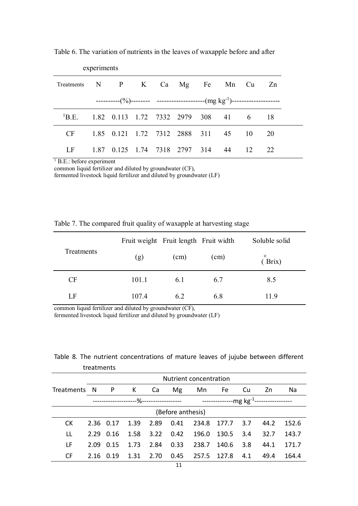|                                                         | experiments |                                        |  |  |  |    |
|---------------------------------------------------------|-------------|----------------------------------------|--|--|--|----|
| Treatments N P K Ca Mg Fe Mn Cu Zn                      |             |                                        |  |  |  |    |
|                                                         |             |                                        |  |  |  |    |
| <sup>1</sup> B.E. 1.82 0.113 1.72 7332 2979 308 41 6 18 |             |                                        |  |  |  |    |
| $CF$ and $CF$                                           |             | 1.85 0.121 1.72 7312 2888 311 45 10 20 |  |  |  |    |
| LF                                                      |             | 1.87 0.125 1.74 7318 2797 314 44 12    |  |  |  | 22 |

Table 6. The variation of nutrients in the leaves of waxapple before and after

<sup>1</sup> B.E.: before experiment

common liquid fertilizer and diluted by groundwater (CF),

fermented livestock liquid fertilizer and diluted by groundwater (LF)

|            |       | Fruit weight Fruit length Fruit width |      | Soluble solid          |
|------------|-------|---------------------------------------|------|------------------------|
| Treatments | (g)   | (cm)                                  | (cm) | $\mathbf{o}$<br>(Brix) |
| CF         | 101.1 | 6.1                                   | 6.7  | 8.5                    |
| LF         | 107.4 | 6.2                                   | 6.8  | 11.9                   |

Table 7. The compared fruit quality of waxapple at harvesting stage

common liquid fertilizer and diluted by groundwater (CF),

fermented livestock liquid fertilizer and diluted by groundwater (LF)

Table 8. The nutrient concentrations of mature leaves of jujube between different treatments

|              | Nutrient concentration |              |      |      |                   |       |             |     |      |       |
|--------------|------------------------|--------------|------|------|-------------------|-------|-------------|-----|------|-------|
| Treatments N |                        | $\mathsf{P}$ | K Ca |      | Mg                |       | Mn Fe       | .Cu | Zn   | Na    |
|              |                        |              |      |      |                   |       |             |     |      |       |
|              |                        |              |      |      | (Before anthesis) |       |             |     |      |       |
| CK.          | 2.36                   | 0.17         | 1.39 | 2.89 | 0.41              | 234.8 | 177.7       | 3.7 | 44.2 | 152.6 |
| LL           | 2.29                   | 0.16         | 1.58 | 3.22 | 0.42              | 196.0 | 130.5       | 3.4 | 32.7 | 143.7 |
| LF           | 2.09                   | 0.15         | 1.73 | 2.84 | 0.33              | 238.7 | 140.6       | 3.8 | 44.1 | 171.7 |
| CF           | 2.16                   | 0.19         | 1.31 | 2.70 | 0.45              |       | 257.5 127.8 | 4.1 | 49.4 | 164.4 |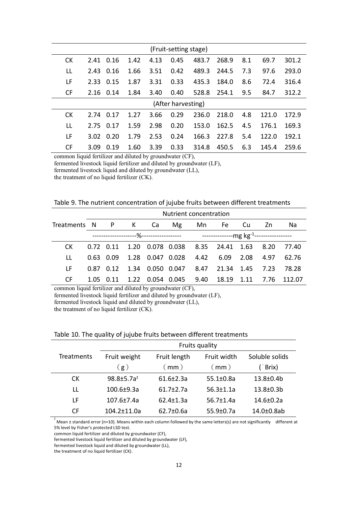| (Fruit-setting stage) |           |      |      |      |                    |       |       |     |       |       |
|-----------------------|-----------|------|------|------|--------------------|-------|-------|-----|-------|-------|
| <b>CK</b>             | 2.41      | 0.16 | 1.42 | 4.13 | 0.45               | 483.7 | 268.9 | 8.1 | 69.7  | 301.2 |
| LL                    | 2.43      | 0.16 | 1.66 | 3.51 | 0.42               | 489.3 | 244.5 | 7.3 | 97.6  | 293.0 |
| LF                    | 2.33      | 0.15 | 1.87 | 3.31 | 0.33               | 435.3 | 184.0 | 8.6 | 72.4  | 316.4 |
| <b>CF</b>             | 2.16 0.14 |      | 1.84 | 3.40 | 0.40               | 528.8 | 254.1 | 9.5 | 84.7  | 312.2 |
|                       |           |      |      |      | (After harvesting) |       |       |     |       |       |
| <b>CK</b>             | 2.74      | 0.17 | 1.27 | 3.66 | 0.29               | 236.0 | 218.0 | 4.8 | 121.0 | 172.9 |
| LL                    | 2.75      | 0.17 | 1.59 | 2.98 | 0.20               | 153.0 | 162.5 | 4.5 | 176.1 | 169.3 |
| LF                    | 3.02      | 0.20 | 1.79 | 2.53 | 0.24               | 166.3 | 227.8 | 5.4 | 122.0 | 192.1 |
| <b>CF</b>             | 3.09      | 0.19 | 1.60 | 3.39 | 0.33               | 314.8 | 450.5 | 6.3 | 145.4 | 259.6 |

common liquid fertilizer and diluted by groundwater (CF),

fermented livestock liquid fertilizer and diluted by groundwater (LF),

fermented livestock liquid and diluted by groundwater (LL),

the treatment of no liquid fertilizer (CK).

Table 9. The nutrient concentration of jujube fruits between different treatments

|                                    | Nutrient concentration |           |  |  |  |  |                                                                |  |  |                                                                 |
|------------------------------------|------------------------|-----------|--|--|--|--|----------------------------------------------------------------|--|--|-----------------------------------------------------------------|
| Treatments N P K Ca Mg Mn Fe Cu Zn |                        |           |  |  |  |  |                                                                |  |  | Na                                                              |
|                                    |                        |           |  |  |  |  |                                                                |  |  |                                                                 |
| CK.                                |                        |           |  |  |  |  | 0.72  0.11  1.20  0.078  0.038  8.35  24.41  1.63  8.20  77.40 |  |  |                                                                 |
| Н.                                 |                        |           |  |  |  |  | 0.63 0.09 1.28 0.047 0.028 4.42 6.09 2.08 4.97 62.76           |  |  |                                                                 |
| I F.                               |                        | 0.87 0.12 |  |  |  |  | 1.34  0.050  0.047  8.47  21.34  1.45  7.23                    |  |  | 78.28                                                           |
| CF.                                |                        |           |  |  |  |  |                                                                |  |  | 1.05  0.11  1.22  0.054  0.045  9.40  18.19  1.11  7.76  112.07 |

common liquid fertilizer and diluted by groundwater (CF),

fermented livestock liquid fertilizer and diluted by groundwater (LF),

fermented livestock liquid and diluted by groundwater (LL),

the treatment of no liquid fertilizer (CK).

|            | Fruits quality    |                 |                 |                   |  |  |  |  |  |  |
|------------|-------------------|-----------------|-----------------|-------------------|--|--|--|--|--|--|
| Treatments | Fruit weight      | Fruit length    | Fruit width     | Soluble solids    |  |  |  |  |  |  |
|            | (g)               | (mm)            | $($ mm $)$      | Brix)             |  |  |  |  |  |  |
| <b>CK</b>  | $98.8 \pm 5.7a^2$ | $61.6 \pm 2.3a$ | $55.1 \pm 0.8a$ | 13.8±0.4b         |  |  |  |  |  |  |
| LL         | $100.6 + 9.3a$    | $61.7 + 2.7a$   | $56.3 \pm 1.1a$ | $13.8 \pm 0.3 b$  |  |  |  |  |  |  |
| ΙF         | $107.6 \pm 7.4a$  | $62.4 \pm 1.3a$ | $56.7 \pm 1.4a$ | $14.6 \pm 0.2a$   |  |  |  |  |  |  |
| CF         | 104.2±11.0a       | $62.7 \pm 0.6a$ | $55.9 \pm 0.7a$ | $14.0 \pm 0.8$ ab |  |  |  |  |  |  |

#### Table 10. The quality of jujube fruits between different treatments

<sup>z</sup> Mean ± standard error (n=10). Means within each column followed by the same letters(s) are not significantly different at 5% level by Fisher's protected LSD test.

common liquid fertilizer and diluted by groundwater (CF),

fermented livestock liquid fertilizer and diluted by groundwater (LF),

fermented livestock liquid and diluted by groundwater (LL),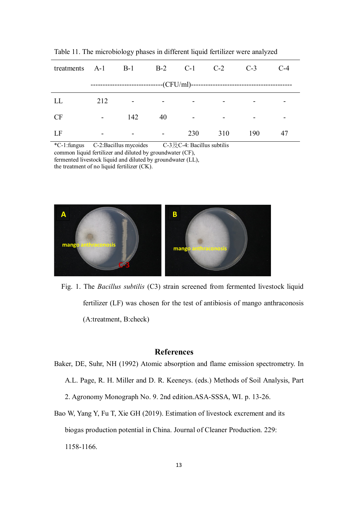| treatments $A-1$ $B-1$ $B-2$ $C-1$ $C-2$                               |                          |                          |                          |                          |                          | $C-3$ | $C-4$ |
|------------------------------------------------------------------------|--------------------------|--------------------------|--------------------------|--------------------------|--------------------------|-------|-------|
| -------------------------------(CFU/ml)------------------------------- |                          |                          |                          |                          |                          |       |       |
| LL                                                                     | 212                      | $\overline{\phantom{a}}$ | $\overline{\phantom{a}}$ |                          |                          |       |       |
| <b>CF</b>                                                              | $\overline{\phantom{a}}$ | 142                      | 40                       | $\overline{\phantom{a}}$ | $\overline{\phantom{a}}$ | -     |       |
| LF                                                                     | -                        | $\overline{\phantom{a}}$ | $\overline{\phantom{a}}$ | 230                      | 310                      | 190   | 47    |

Table 11. The microbiology phases in different liquid fertilizer were analyzed

\*C-1:fungus C-2:Bacillus mycoides C-3及C-4: Bacillus subtilis common liquid fertilizer and diluted by groundwater (CF), fermented livestock liquid and diluted by groundwater (LL), the treatment of no liquid fertilizer (CK).



 Fig. 1. The *Bacillus subtilis* (C3) strain screened from fermented livestock liquid fertilizer (LF) was chosen for the test of antibiosis of mango anthraconosis (A:treatment, B:check)

#### **References**

Baker, DE, Suhr, NH (1992) Atomic absorption and flame emission spectrometry. In A.L. Page, R. H. Miller and D. R. Keeneys. (eds.) Methods of Soil Analysis, Part 2. Agronomy Monograph No. 9. 2nd edition.ASA-SSSA, WI. p. 13-26. Bao W, Yang Y, Fu T, Xie GH (2019). Estimation of livestock excrement and its

biogas production potential in China. Journal of Cleaner Production. 229: 1158-1166.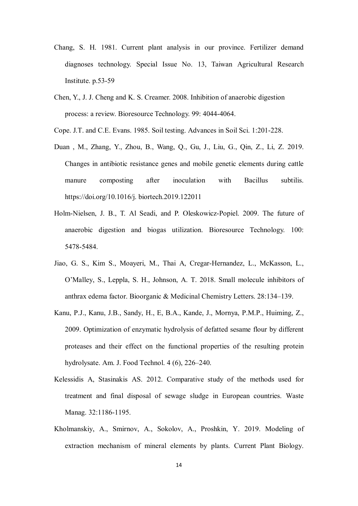- Chang, S. H. 1981. Current plant analysis in our province. Fertilizer demand diagnoses technology. Special Issue No. 13, Taiwan Agricultural Research Institute. p.53-59
- Chen, Y., J. J. Cheng and K. S. Creamer. 2008. Inhibition of anaerobic digestion process: a review. Bioresource Technology. 99: 4044-4064.
- Cope. J.T. and C.E. Evans. 1985. Soil testing. Advances in Soil Sci. 1:201-228.
- Duan , M., Zhang, Y., Zhou, B., Wang, Q., Gu, J., Liu, G., Qin, Z., Li, Z. 2019. Changes in antibiotic resistance genes and mobile genetic elements during cattle manure composting after inoculation with Bacillus subtilis. https://doi.org/10.1016/j. biortech.2019.122011
- Holm-Nielsen, J. B., T. Al Seadi, and P. Oleskowicz-Popiel. 2009. The future of anaerobic digestion and biogas utilization. Bioresource Technology. 100: 5478-5484.
- Jiao, G. S., Kim S., Moayeri, M., Thai A, Cregar-Hernandez, L., McKasson, L., O'Malley, S., Leppla, S. H., Johnson, A. T. 2018. Small molecule inhibitors of anthrax edema factor. Bioorganic & Medicinal Chemistry Letters. 28:134–139.
- Kanu, P.J., Kanu, J.B., Sandy, H., E, B.A., Kande, J., Mornya, P.M.P., Huiming, Z., 2009. Optimization of enzymatic hydrolysis of defatted sesame flour by different proteases and their effect on the functional properties of the resulting protein hydrolysate. Am. J. Food Technol. 4 (6), 226–240.
- Kelessidis A, Stasinakis AS. 2012. Comparative study of the methods used for treatment and final disposal of sewage sludge in European countries. Waste Manag. 32:1186-1195.
- Kholmanskiy, A., Smirnov, A., Sokolov, A., Proshkin, Y. 2019. Modeling of extraction mechanism of mineral elements by plants. Current Plant Biology.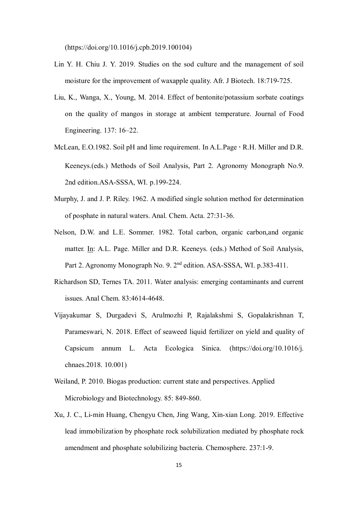(https://doi.org/10.1016/j.cpb.2019.100104)

- Lin Y. H. Chiu J. Y. 2019. Studies on the sod culture and the management of soil moisture for the improvement of waxapple quality. Afr. J Biotech. 18:719-725.
- Liu, K., Wanga, X., Young, M. 2014. Effect of bentonite/potassium sorbate coatings on the quality of mangos in storage at ambient temperature. Journal of Food Engineering. 137: 16–22.
- McLean, E.O.1982. Soil pH and lime requirement. In A.L.Page, R.H. Miller and D.R. Keeneys.(eds.) Methods of Soil Analysis, Part 2. Agronomy Monograph No.9. 2nd edition.ASA-SSSA, WI. p.199-224.
- Murphy, J. and J. P. Riley. 1962. A modified single solution method for determination of posphate in natural waters. Anal. Chem. Acta. 27:31-36.
- Nelson, D.W. and L.E. Sommer. 1982. Total carbon, organic carbon,and organic matter. In: A.L. Page. Miller and D.R. Keeneys. (eds.) Method of Soil Analysis, Part 2. Agronomy Monograph No. 9. 2<sup>nd</sup> edition. ASA-SSSA, WI. p.383-411.
- Richardson SD, Ternes TA. 2011. Water analysis: emerging contaminants and current issues. Anal Chem. 83:4614-4648.
- Vijayakumar S, Durgadevi S, Arulmozhi P, Rajalakshmi S, Gopalakrishnan T, Parameswari, N. 2018. Effect of seaweed liquid fertilizer on yield and quality of Capsicum annum L. Acta Ecologica Sinica. (https://doi.org/10.1016/j. chnaes.2018. 10.001)
- Weiland, P. 2010. Biogas production: current state and perspectives. Applied Microbiology and Biotechnology. 85: 849-860.
- Xu, J. C., Li-min Huang, Chengyu Chen, Jing Wang, Xin-xian Long. 2019. Effective lead immobilization by phosphate rock solubilization mediated by phosphate rock amendment and phosphate solubilizing bacteria. Chemosphere. 237:1-9.